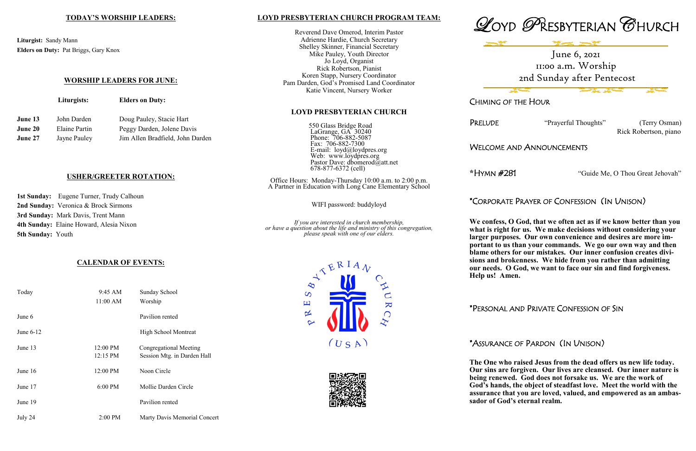### **LOYD PRESBYTERIAN CHURCH PROGRAM TEAM:**

Reverend Dave Omerod, Interim Pastor Adrienne Hardie, Church Secretary Shelley Skinner, Financial Secretary Mike Pauley, Youth Director Jo Loyd, Organist Rick Robertson, Pianist Koren Stapp, Nursery Coordinator Pam Darden, God's Promised Land Coordinator Katie Vincent, Nursery Worker

#### **LOYD PRESBYTERIAN CHURCH**

550 Glass Bridge Road LaGrange, GA 30240 Phone: 706-882-5087 Fax: 706-882-7300 E-mail: loyd@loydpres.org Web: www.loydpres.org Pastor Dave: dbomerod@att.net 678-877-6372 (cell)

PRELUDE "Prayerful Thoughts" (Terry Osman) Rick Robertson, piano

Office Hours: Monday-Thursday 10:00 a.m. to 2:00 p.m. A Partner in Education with Long Cane Elementary School

WIFI password: buddyloyd

*If you are interested in church membership, or have a question about the life and ministry of this congregation, please speak with one of our elders.*









CHIMING OF THE HOUR

WELCOME AND ANNOUNCEMENTS

**\***HYMN #281 "Guide Me, O Thou Great Jehovah"

\*CORPORATE PRAYER OF CONFESSION (IN UNISON)

1st Sunday: Eugene Turner, Trudy Calhoun **2nd Sunday:** Veronica & Brock Sirmons **3rd Sunday:** Mark Davis, Trent Mann **4th Sunday:** Elaine Howard, Alesia Nixon **5th Sunday:** Youth

**We confess, O God, that we often act as if we know better than you what is right for us. We make decisions without considering your larger purposes. Our own convenience and desires are more important to us than your commands. We go our own way and then blame others for our mistakes. Our inner confusion creates divisions and brokenness. We hide from you rather than admitting our needs. O God, we want to face our sin and find forgiveness. Help us! Amen.**

\*PERSONAL AND PRIVATE CONFESSION OF SIN

\*ASSURANCE OF PARDON (IN UNISON)

**The One who raised Jesus from the dead offers us new life today. Our sins are forgiven. Our lives are cleansed. Our inner nature is being renewed. God does not forsake us. We are the work of God's hands, the object of steadfast love. Meet the world with the assurance that you are loved, valued, and empowered as an ambassador of God's eternal realm.**

## **TODAY'S WORSHIP LEADERS:**

**Liturgist:** Sandy Mann **Elders on Duty:** Pat Briggs, Gary Knox

### **WORSHIP LEADERS FOR JUNE:**

|                | Liturgists:   | <b>Elders on Duty:</b>           |  |
|----------------|---------------|----------------------------------|--|
| June 13        | John Darden   | Doug Pauley, Stacie Hart         |  |
| <b>June 20</b> | Elaine Partin | Peggy Darden, Jolene Davis       |  |
| June 27        | Jayne Pauley  | Jim Allen Bradfield, John Darden |  |

### **USHER/GREETER ROTATION:**

# **CALENDAR OF EVENTS:**

| Today       | 9:45 AM<br>11:00 AM              | Sunday School<br>Worship                              |
|-------------|----------------------------------|-------------------------------------------------------|
| June 6      |                                  | Pavilion rented                                       |
| June $6-12$ |                                  | <b>High School Montreat</b>                           |
| June $13$   | $12:00 \text{ PM}$<br>$12:15$ PM | Congregational Meeting<br>Session Mtg. in Darden Hall |
| June $16$   | 12:00 PM                         | Noon Circle                                           |
| June 17     | 6:00 PM                          | Mollie Darden Circle                                  |
| June 19     |                                  | Pavilion rented                                       |
| July 24     | $2:00$ PM                        | Marty Davis Memorial Concert                          |

June 6, 2021 11:00 a.m. Worship 2nd Sunday after Pentecost